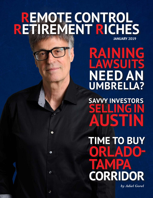## **JANUARY 2019 REMOTE CONTROL RETIREMENT RICHES**

G

 $\bullet$ 

 $\circ$ 

Ô

**RAINING LAWSUITS NEED AN UMBRELI** 

**SAVVY INVESTORS SELLING IN AUSTIN**

**TIME TO BUY ORLADO-TAMPA CORRIDOR**

*by Adiel Gorel*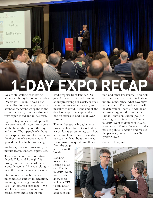# **1-DAY EXPO RECAP**

We are still getting calls raving about our 1-Day Expo on Saturday, December 1, 2018. It was a big event. Hundreds of people were in attendance. Attendees spanned the entire spectrum, from brand-new to very experienced and in-between.

AL ESTATE **10** INVESTMENTS

ICG 1-Day Expo

San Francisco

September 8, 2018

I gave a beginner's workshop for the new people, and made sure to cover all the basics throughout the day, and more. Thus, people who have been exposed to this information for the first time felt empowered and gained much valuable knowledge.

We brought our infrastructure, the market teams, lenders, experts etc.

Two new markets were re-introduced: Tulsa and Raleigh. We brought in these two markets over a decade ago, and it was exciting to have the market teams back again.

Our guest speakers brought us much needed current information. Weiming Peng taught us about 1031 tax-deferred exchanges. We also learned how to enhance our credit scores and clean up our

credit reports from Jennifer Drugan. Attorney Brett Lytle taught us about protecting our assets, entities, the importance of insurance, and mistakes to avoid. At the end of the day, I recapped the expo and we had an extensive additional Q&A session.

The market teams brought actual property sheets for us to look at, so we could see prices, rents, cash flow and more. Lenders were available to talk to attendees about their needs. I was answering questions all day,

from the stage and during the breaks.

Looking forward to seeing you at our March 9, 2019, event. We already know there will be a CPA to talk about taxes, accelerated deprecia-

tion and other key issues. There will be an insurance expert to talk about umbrella insurance, what coverages we need, etc. The third expert will be determined shortly. It will be an amazing day, and the San Francisco Public Television station (KQED), is giving two tickets to the March 9, 2019, event to donors of KQED who buy my Master Package. To donate to public television and receive the package, go here: https://bit. ly/2oO4zQE

See you there, Adiel.

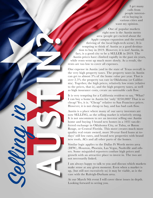I get many calls from people interested in buying in various cities and want my opinion.

One of popular markets right now is the Austin metro area (people get excited about the Apple campus expansion and the overall thriving of the local high-tech scene). It is tempting to think of Austin as a good destination to buy in 2019. However, it is not! Austin, in fact, is a good city to be a SELLER in 2019. The Austin prices have climbed rapidly in the past six years, while rents went up much more slowly. As a result, the rents are too low to cover all expenses. The strain of the strain of the strain of the strain of the strain of the strain prices have the strain and the strain and the strain of the strain and the strain of the strain  $\frac{1}{2}$  and  $\frac{1}{2}$  and  $\frac{1}{2}$  and  $\frac$ 

One expense in Austin (and in the state of Texas overall) is the very high property taxes. The property taxes in Austin can get to almost 3% of the home value per year. That is over 2.5% the property tax rate in Oklahoma (or California). Together, the high prices, relatively low rents (relative to the prices, that is), and the high property taxes, as well as high insurance costs, create an untenable cash flow.

It is very tempting for a California resident to say, "What? I can buy a home in Austin for 'only' \$250,000? That is so cheap! Yes, it is. "Cheap" relative to San Francisco prices. However, it is not cheap to buy, and has bad cash flow.

Austin is a place where many of our savvy investors are now SELLING, as the selling market is relatively strong. It is not uncommon to see an investor selling one Austin home and buying 3 brand new homes in a 1031 tax-deferred exchange in Oklahoma City, or Tulsa, or Baton Rouge, or Central Florida. This move creates much more quality real estate owned, more 30-year fixed loans at todays' still low rates, and brand new properties with brand new roofs, ACs and all other parts of the homes.

Similar logic applies to the Dallas Ft Worth metro area (DFW), Houston, Phoenix, Las Vegas, Nashville and others. Some misguided reporters confuse high prices and growth with an attractive place to invest in. The two are not necessarily linked.

I am always happy to talk to you and discuss which markets make sense at any given moment. Even when a market is up, (but still not excessively so) it may be viable, as is the case with the Raleigh-Durham area.

At our March 9th event I will cover these issues in depth. Looking forward to seeing you.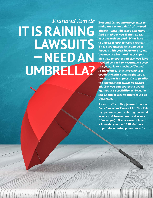# *Featured Article* **IT IS RAINING LAWSUITS — NEED AN UMBRELLA?**

**Personal Injury Attorneys exist to make money on behalf of injured clients. What will those attorneys find out about you if they do an asset search on you? What have you done to protect those assets? These are questions you need to discuss with your Insurance Agent because the first and least expensive way to protect all that you have worked so hard to accumulate over the years, is to purchase Umbrella Insurance. It's impossible to predict whether you might lose a lawsuit, nor is it possible to predict the amount that might be awarded. But you can protect yourself against the possibility of devastating financial loss by purchasing an Umbrella.**

**An umbrella policy (sometimes referred to as an Excess Liability Policy) protects your existing personal assets and future personal assets (like wages). If you were to lose a lawsuit, you would likely have to pay the winning party not only**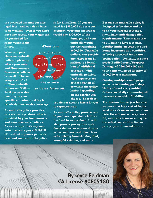**the awarded amount but also legal fees. And you don't have to be wealthy - even if you don't have any assets, your wages can** 

**be garnished for many years in the future.**

**When you purchase an umbrella policy, it picks up where your Auto and Homeowners Insurance policies leave off. The average cost of a 1 million umbrella is between \$300 to \$400 per year depending on your** 

**specific situation, making it relatively inexpensive coverage.** 

**An umbrella policy provides excess coverage above what is provided by your homeowners and auto insurance policies. As an example, let's say your auto insurance pays \$300,000 of medical expenses per accident and your umbrella policy** 

**is for \$1 million. If you are sued for \$900,000 due to a car accident, your auto insurance would pay \$300,000 of the** 

*When you purchase an umbrella policy, it picks up where your Auto and Homeowners Insurance policies leave off.*

**damages and your umbrella would pay the remaining \$600,000. Umbrella policies can provide anywhere from \$1 million to \$10 million of additional coverage. With umbrella policies, legal expenses are covered on top of or within the policy limits depending on the carrier you choose. Therefore,** 

**you do not need to hire a lawyer to represent you.** 

**An umbrella policy protects you if you have dependent children involved in an accident. It will also protect you against accidents that occur on rental properties and personal injury lawsuits arising from slander, libel, wrongful eviction, and more.**

**Because an umbrella policy is designed to be above and beyond your current coverage, it will have underlying policy requirements. This means that you'll have to have a certain liability limits on your auto and home insurance as a condition of being approved for an umbrella policy. Typically, the auto needs Bodily Injury/Property Damage of 250/500/100 and your home will need liability of \$300,000 as a minimum.** 

**Owning multiple rental properties, a swimming pool, dogs, hiring of workers, youthful drivers and daily commuting all increase your risk of liability.** 

**The bottom line is: just because you aren't at high risk of being sued doesn't mean you are at no risk. Even if you are very careful, umbrella insurance may be the safest course of action to protect your financial future.**



### **By Joyce Feldman CA License #0E05180**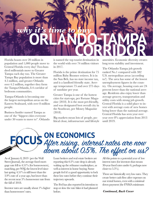# **ORLANDO-TAMPA CORRIDOR** *why it's time to buy*

Florida boasts over 20 million in population and 1,000 people move to Central Florida every day! Two-hundred millennials move to Greater Tampa each day too. The Greater Tampa Bay population is more than 4.5 million, and greater Orlando over 4.2 million, together they form the Tampa-Orlando, I-4 corridor of bedroom communities.

Tampa-Orlando is becoming one the largest metropolitan areas on the Eastern Seaboard, with over 8 million people.

Business Insider named Tampa as one of the "hippest cities everyone under 30 wants to move to". Orlando is named the top tourist destination in the world with over 74 million visitors in 2017.

Florida is the prime destination for 75 million Baby Boomer retirees. It is in the Sun Belt, has no state income tax, and is a landlord friendly state. Average temperature 75 and over 275 days of sunshine per year.

Greater Tampa is one of the hottest cities for start-ups, per Fortune Magazine (2018). It is the most pet-friendly, and was designated best overall city in the Southeast, per Money Magazine (2018).

Big markets mean lots of people, political clout, infrastructure and lifestyle

amenities. Economic diversity creates long term stability and investment.

The Orlando-Tampa job growth ranked No.1 compared with 382 U.S. metropolitan areas (according to?). The area has some of the lowest unemployment figures in the country. On average, housing costs are 24 percent lower than the national average. Residents also enjoy lower than average grocery, transportation and utility costs with strong job growth. Central Florida is a solid place to invest with average costs of new homes being lower than the national average. Central Florida has seen year over year over 8% appreciation from 2013 until 2019.

### **ON ECONOMICS** After rising, interest rates are now down about 0.5%. The effect on us?

As of January 8, 2019 (per the Wall Street Journal), the average fixed mortgage rate fell to  $4.51\%$  (for homeowners), matching, per WSJ, the lowest level since last spring.  $4.51\%$  is still lower than the 3.9% rate of a year ago, but lower than the recent near 5% homeowner rate from the fall of 2018.

Investor rates are usually about 1% higher than homeowners' rates.

Loan brokers and real estate brokers are reporting this 0.5% rate drop is already waking up the refinance marketplace, as well as interest in home buying. Some people feel it's a good opportunity to lock these low rates before they continue their trajectory upwards.

The Fed has also reported its intention to stop or slow the rate hikes it had planned before.

All this points to a potential year of low interest rates (for investors that means 30-year fixed rates under 6, perhaps now closer to  $5.5\%$ ).

These are historically very low rates. They create better cash flow after expenses on our rental homes, even with a minimal down payment (the FNMA minimum

#### *Continued, Back Cover*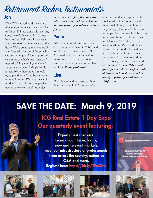# Retirement Riches Testimonials

#### **Jon**

"The ICG network and the expert information there was the crucial factor for us. If I had done this investing alone, I would have made 10 times the mistakes. Kelly and I have developed a sense of confidence about the future. We're creating financial stability and security for our children, which was our main goal. Most importantly, we can see the finish line instead of insecurity. My general goal when I started was to own 10 single family homes. We're there now. I'm looking to pay them off and buy another ten rental homes. We have peace of mind and a plan for secure, passive income so we can travel and enjoy

more sunsets." *– Jon, ICG investor who owns nine rentals in Arizona and his primary residence in New Jersey*

#### **Paula**

"We bought outside Austin (Leander) through your team in 2005, held for 10 years, made beaucoup \$\$\$. And made a friend for life with our then-property manager, who just came to SF with his wife to visit last week." *- Paula (Roberta)* 

#### **Lisa**

"I'm pleased with our net worth and financial outlook. Of course, we're

older now and a bit exposed in the stock market. Had we not bought those single-family rental homes 12 years ago, I know we'd be in an unhappy place. We wouldn't be living in our own home in a beach town in California. We'd still be renting somewhere. We wouldn't have net worth that we do. I would have anxiety about the future. Instead, we know we'll be able to send our kids to college and have some kind of retirement." *Lisa, ICG investor for 12 years, who owns five rental homes in two states and her family's primary residence in California*

## SAVE THE DATE: March 9, 2019 **ICG Real Estate 1-Day Expo** Our quarterly event featuring:

**Expert guest speakers.** Learn about: taxes, loans, new and relevant markets, meet our infrastructure of professionals from across the country, extensive Q&A and more. Register here: https://bit.ly/2Em3Xvt

teal Estate Investments

mpowering you t<br>build a stronger, inancially secure future.